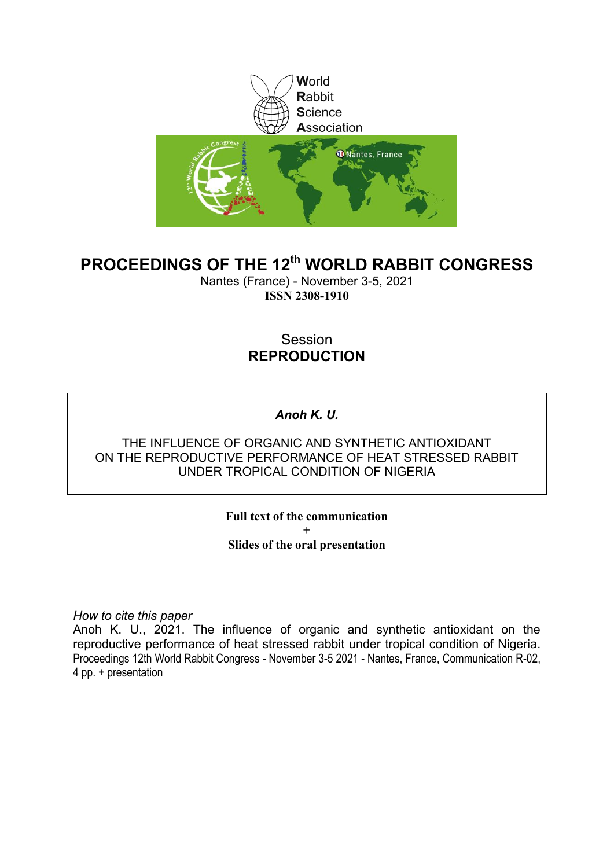

# **PROCEEDINGS OF THE 12th WORLD RABBIT CONGRESS**

Nantes (France) - November 3-5, 2021 **ISSN 2308-1910**

## Session **REPRODUCTION**

## *Anoh K. U.*

### THE INFLUENCE OF ORGANIC AND SYNTHETIC ANTIOXIDANT ON THE REPRODUCTIVE PERFORMANCE OF HEAT STRESSED RABBIT UNDER TROPICAL CONDITION OF NIGERIA

### **Full text of the communication + Slides of the oral presentation**

*How to cite this paper*

Anoh K. U., 2021. The influence of organic and synthetic antioxidant on the reproductive performance of heat stressed rabbit under tropical condition of Nigeria. Proceedings 12th World Rabbit Congress - November 3-5 2021 - Nantes, France, Communication R-02, 4 pp. + presentation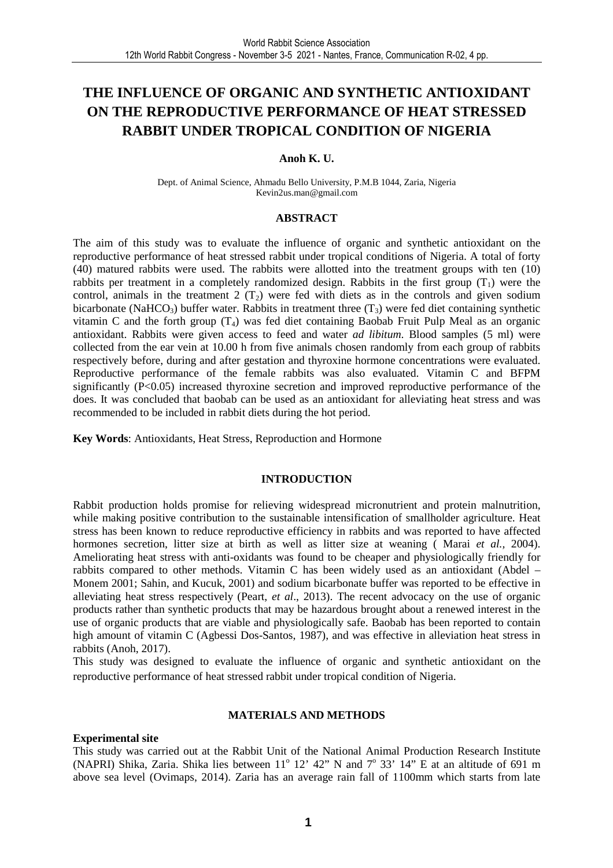## **THE INFLUENCE OF ORGANIC AND SYNTHETIC ANTIOXIDANT ON THE REPRODUCTIVE PERFORMANCE OF HEAT STRESSED RABBIT UNDER TROPICAL CONDITION OF NIGERIA**

#### **Anoh K. U.**

Dept. of Animal Science, Ahmadu Bello University, P.M.B 1044, Zaria, Nigeria Kevin2us.man@gmail.com

#### **ABSTRACT**

The aim of this study was to evaluate the influence of organic and synthetic antioxidant on the reproductive performance of heat stressed rabbit under tropical conditions of Nigeria. A total of forty (40) matured rabbits were used. The rabbits were allotted into the treatment groups with ten (10) rabbits per treatment in a completely randomized design. Rabbits in the first group  $(T_1)$  were the control, animals in the treatment 2  $(T<sub>2</sub>)$  were fed with diets as in the controls and given sodium bicarbonate (NaHCO<sub>3</sub>) buffer water. Rabbits in treatment three  $(T_3)$  were fed diet containing synthetic vitamin C and the forth group  $(T_4)$  was fed diet containing Baobab Fruit Pulp Meal as an organic antioxidant. Rabbits were given access to feed and water *ad libitum*. Blood samples (5 ml) were collected from the ear vein at 10.00 h from five animals chosen randomly from each group of rabbits respectively before, during and after gestation and thyroxine hormone concentrations were evaluated. Reproductive performance of the female rabbits was also evaluated. Vitamin C and BFPM significantly (P<0.05) increased thyroxine secretion and improved reproductive performance of the does. It was concluded that baobab can be used as an antioxidant for alleviating heat stress and was recommended to be included in rabbit diets during the hot period.

**Key Words**: Antioxidants, Heat Stress, Reproduction and Hormone

### **INTRODUCTION**

Rabbit production holds promise for relieving widespread micronutrient and protein malnutrition, while making positive contribution to the sustainable intensification of smallholder agriculture. Heat stress has been known to reduce reproductive efficiency in rabbits and was reported to have affected hormones secretion, litter size at birth as well as litter size at weaning ( Marai *et al.,* 2004). Ameliorating heat stress with anti-oxidants was found to be cheaper and physiologically friendly for rabbits compared to other methods. Vitamin C has been widely used as an antioxidant (Abdel – Monem 2001; Sahin, and Kucuk, 2001) and sodium bicarbonate buffer was reported to be effective in alleviating heat stress respectively (Peart, *et al*., 2013). The recent advocacy on the use of organic products rather than synthetic products that may be hazardous brought about a renewed interest in the use of organic products that are viable and physiologically safe. Baobab has been reported to contain high amount of vitamin C (Agbessi Dos-Santos, 1987), and was effective in alleviation heat stress in rabbits (Anoh, 2017).

This study was designed to evaluate the influence of organic and synthetic antioxidant on the reproductive performance of heat stressed rabbit under tropical condition of Nigeria.

#### **MATERIALS AND METHODS**

#### **Experimental site**

This study was carried out at the Rabbit Unit of the National Animal Production Research Institute (NAPRI) Shika, Zaria. Shika lies between  $11^{\circ}$  12' 42" N and  $7^{\circ}$  33' 14" E at an altitude of 691 m above sea level (Ovimaps, 2014). Zaria has an average rain fall of 1100mm which starts from late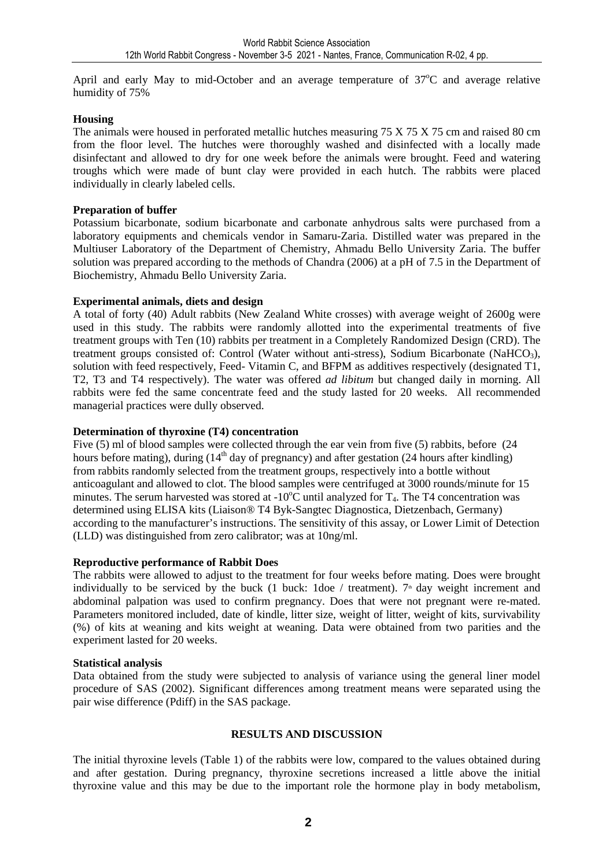April and early May to mid-October and an average temperature of  $37^{\circ}$ C and average relative humidity of 75%

#### **Housing**

The animals were housed in perforated metallic hutches measuring 75 X 75 X 75 cm and raised 80 cm from the floor level. The hutches were thoroughly washed and disinfected with a locally made disinfectant and allowed to dry for one week before the animals were brought. Feed and watering troughs which were made of bunt clay were provided in each hutch. The rabbits were placed individually in clearly labeled cells.

#### **Preparation of buffer**

Potassium bicarbonate, sodium bicarbonate and carbonate anhydrous salts were purchased from a laboratory equipments and chemicals vendor in Samaru-Zaria. Distilled water was prepared in the Multiuser Laboratory of the Department of Chemistry, Ahmadu Bello University Zaria. The buffer solution was prepared according to the methods of Chandra (2006) at a pH of 7.5 in the Department of Biochemistry, Ahmadu Bello University Zaria.

#### **Experimental animals, diets and design**

A total of forty (40) Adult rabbits (New Zealand White crosses) with average weight of 2600g were used in this study. The rabbits were randomly allotted into the experimental treatments of five treatment groups with Ten (10) rabbits per treatment in a Completely Randomized Design (CRD). The treatment groups consisted of: Control (Water without anti-stress), Sodium Bicarbonate (NaHCO<sub>3</sub>), solution with feed respectively, Feed- Vitamin C, and BFPM as additives respectively (designated T1, T2, T3 and T4 respectively). The water was offered *ad libitum* but changed daily in morning. All rabbits were fed the same concentrate feed and the study lasted for 20 weeks. All recommended managerial practices were dully observed.

#### **Determination of thyroxine (T4) concentration**

Five (5) ml of blood samples were collected through the ear vein from five (5) rabbits, before (24 hours before mating), during  $(14<sup>th</sup>$  day of pregnancy) and after gestation  $(24$  hours after kindling) from rabbits randomly selected from the treatment groups, respectively into a bottle without anticoagulant and allowed to clot. The blood samples were centrifuged at 3000 rounds/minute for 15 minutes. The serum harvested was stored at  $-10^{\circ}$ C until analyzed for T<sub>4</sub>. The T4 concentration was determined using ELISA kits (Liaison® T4 Byk-Sangtec Diagnostica, Dietzenbach, Germany) according to the manufacturer's instructions. The sensitivity of this assay, or Lower Limit of Detection (LLD) was distinguished from zero calibrator; was at 10ng/ml.

### **Reproductive performance of Rabbit Does**

The rabbits were allowed to adjust to the treatment for four weeks before mating. Does were brought individually to be serviced by the buck (1 buck: 1doe / treatment).  $7<sup>th</sup>$  day weight increment and abdominal palpation was used to confirm pregnancy. Does that were not pregnant were re-mated. Parameters monitored included, date of kindle, litter size, weight of litter, weight of kits, survivability (%) of kits at weaning and kits weight at weaning. Data were obtained from two parities and the experiment lasted for 20 weeks.

#### **Statistical analysis**

Data obtained from the study were subjected to analysis of variance using the general liner model procedure of SAS (2002). Significant differences among treatment means were separated using the pair wise difference (Pdiff) in the SAS package.

### **RESULTS AND DISCUSSION**

The initial thyroxine levels (Table 1) of the rabbits were low, compared to the values obtained during and after gestation. During pregnancy, thyroxine secretions increased a little above the initial thyroxine value and this may be due to the important role the hormone play in body metabolism,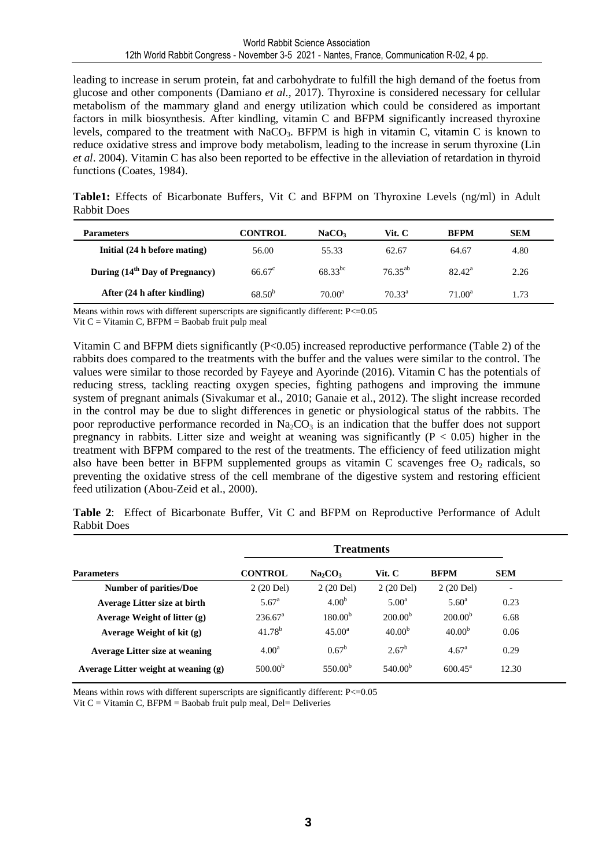leading to increase in serum protein, fat and carbohydrate to fulfill the high demand of the foetus from glucose and other components (Damiano *et al.,* 2017). Thyroxine is considered necessary for cellular metabolism of the mammary gland and energy utilization which could be considered as important factors in milk biosynthesis. After kindling, vitamin C and BFPM significantly increased thyroxine levels, compared to the treatment with NaCO<sub>3</sub>. BFPM is high in vitamin C, vitamin C is known to reduce oxidative stress and improve body metabolism, leading to the increase in serum thyroxine (Lin *et al*. 2004). Vitamin C has also been reported to be effective in the alleviation of retardation in thyroid functions (Coates, 1984).

**Table1:** Effects of Bicarbonate Buffers, Vit C and BFPM on Thyroxine Levels (ng/ml) in Adult Rabbit Does

| <b>Parameters</b>                          | <b>CONTROL</b>  | NaCO <sub>3</sub> | Vit. C          | <b>BFPM</b>     | <b>SEM</b> |
|--------------------------------------------|-----------------|-------------------|-----------------|-----------------|------------|
| Initial (24 h before mating)               | 56.00           | 55.33             | 62.67           | 64.67           | 4.80       |
| During (14 <sup>th</sup> Day of Pregnancy) | $66.67^{\circ}$ | $68.33^{bc}$      | $76.35^{ab}$    | $82.42^{\rm a}$ | 2.26       |
| After (24 h after kindling)                | $68.50^{b}$     | $70.00^{\rm a}$   | $70.33^{\circ}$ | $71.00^a$       | l.73       |

Means within rows with different superscripts are significantly different:  $P \le 0.05$ 

Vit  $C =$  Vitamin C, BFPM = Baobab fruit pulp meal

Vitamin C and BFPM diets significantly  $(P< 0.05)$  increased reproductive performance (Table 2) of the rabbits does compared to the treatments with the buffer and the values were similar to the control. The values were similar to those recorded by Fayeye and Ayorinde (2016). Vitamin C has the potentials of reducing stress, tackling reacting oxygen species, fighting pathogens and improving the immune system of pregnant animals (Sivakumar et al., 2010; Ganaie et al., 2012). The slight increase recorded in the control may be due to slight differences in genetic or physiological status of the rabbits. The poor reproductive performance recorded in  $Na<sub>2</sub>CO<sub>3</sub>$  is an indication that the buffer does not support pregnancy in rabbits. Litter size and weight at weaning was significantly ( $P < 0.05$ ) higher in the treatment with BFPM compared to the rest of the treatments. The efficiency of feed utilization might also have been better in BFPM supplemented groups as vitamin C scavenges free  $O<sub>2</sub>$  radicals, so preventing the oxidative stress of the cell membrane of the digestive system and restoring efficient feed utilization (Abou-Zeid et al., 2000).

**Table 2**: Effect of Bicarbonate Buffer, Vit C and BFPM on Reproductive Performance of Adult Rabbit Does

|                                       | <b>Treatments</b> |                                 |                     |                     |                          |
|---------------------------------------|-------------------|---------------------------------|---------------------|---------------------|--------------------------|
| <b>Parameters</b>                     | <b>CONTROL</b>    | Na <sub>2</sub> CO <sub>3</sub> | Vit. C              | <b>BFPM</b>         | <b>SEM</b>               |
| <b>Number of parities/Doe</b>         | 2 (20 Del)        | 2 (20 Del)                      | 2 (20 Del)          | 2 (20 Del)          | $\overline{\phantom{a}}$ |
| Average Litter size at birth          | $5.67^{\circ}$    | 4.00 <sup>b</sup>               | $5.00^{\circ}$      | $5.60^{\circ}$      | 0.23                     |
| Average Weight of litter (g)          | $236.67^{\circ}$  | 180.00 <sup>b</sup>             | 200.00 <sup>b</sup> | 200.00 <sup>b</sup> | 6.68                     |
| Average Weight of kit (g)             | $41.78^{b}$       | $45.00^{\rm a}$                 | 40.00 <sup>b</sup>  | 40.00 <sup>b</sup>  | 0.06                     |
| <b>Average Litter size at weaning</b> | 4.00 <sup>a</sup> | $0.67^{\rm b}$                  | $2.67^b$            | 4.67 <sup>a</sup>   | 0.29                     |
| Average Litter weight at weaning (g)  | $500.00^{b}$      | $550.00^{b}$                    | 540.00 <sup>b</sup> | $600.45^{\circ}$    | 12.30                    |

Means within rows with different superscripts are significantly different: P<=0.05

Vit  $C =$  Vitamin C, BFPM = Baobab fruit pulp meal, Del= Deliveries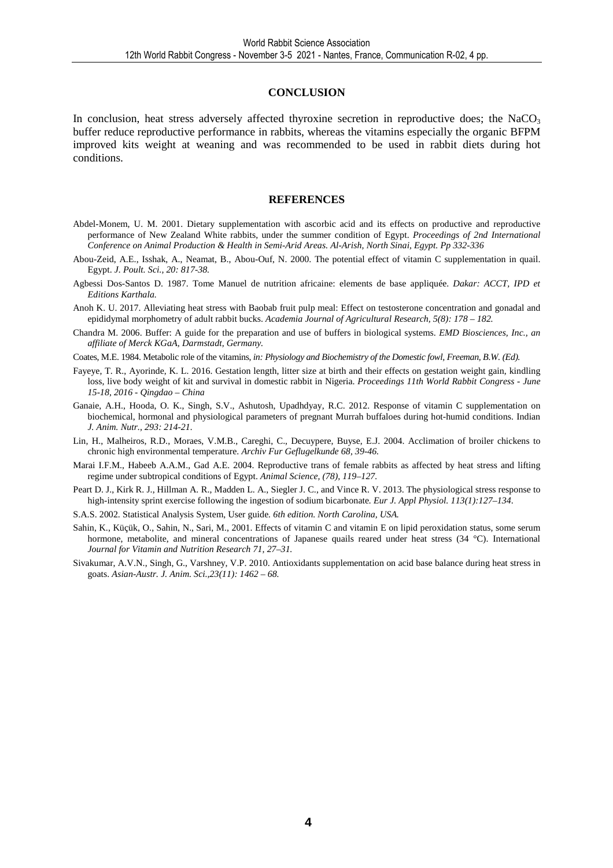#### **CONCLUSION**

In conclusion, heat stress adversely affected thyroxine secretion in reproductive does; the NaCO<sub>3</sub> buffer reduce reproductive performance in rabbits, whereas the vitamins especially the organic BFPM improved kits weight at weaning and was recommended to be used in rabbit diets during hot conditions.

#### **REFERENCES**

- Abdel-Monem, U. M. 2001. Dietary supplementation with ascorbic acid and its effects on productive and reproductive performance of New Zealand White rabbits, under the summer condition of Egypt. *Proceedings of 2nd International Conference on Animal Production & Health in Semi-Arid Areas. Al-Arish, North Sinai, Egypt. Pp 332-336*
- Abou-Zeid, A.E., Isshak, A., Neamat, B., Abou-Ouf, N. 2000. The potential effect of vitamin C supplementation in quail. Egypt. *J. Poult. Sci., 20: 817-38.*
- Agbessi Dos-Santos D. 1987. Tome Manuel de nutrition africaine: elements de base appliquée. *Dakar: ACCT, IPD et Editions Karthala.*
- Anoh K. U. 2017. Alleviating heat stress with Baobab fruit pulp meal: Effect on testosterone concentration and gonadal and epididymal morphometry of adult rabbit bucks. *Academia Journal of Agricultural Research, 5(8): 178 – 182.*
- Chandra M. 2006. Buffer: A guide for the preparation and use of buffers in biological systems. *EMD Biosciences, Inc., an affiliate of Merck KGaA, Darmstadt, Germany.*
- Coates, M.E. 1984. Metabolic role of the vitamins, *in: Physiology and Biochemistry of the Domestic fowl, Freeman, B.W. (Ed).*
- Fayeye, T. R., Ayorinde, K. L. 2016. Gestation length, litter size at birth and their effects on gestation weight gain, kindling loss, live body weight of kit and survival in domestic rabbit in Nigeria. *Proceedings 11th World Rabbit Congress - June 15-18, 2016 - Qingdao – China*
- Ganaie, A.H., Hooda, O. K., Singh, S.V., Ashutosh, Upadhdyay, R.C. 2012. Response of vitamin C supplementation on biochemical, hormonal and physiological parameters of pregnant Murrah buffaloes during hot-humid conditions. Indian *J. Anim. Nutr., 293: 214-21.*
- Lin, H., Malheiros, R.D., Moraes, V.M.B., Careghi, C., Decuypere, Buyse, E.J. 2004. Acclimation of broiler chickens to chronic high environmental temperature. *Archiv Fur Geflugelkunde 68, 39-46.*
- Marai I.F.M., Habeeb A.A.M., Gad A.E. 2004. Reproductive trans of female rabbits as affected by heat stress and lifting regime under subtropical conditions of Egypt. *Animal Science, (78), 119–127.*
- Peart D. J., Kirk R. J., Hillman A. R., Madden L. A., Siegler J. C., and Vince R. V. 2013. The physiological stress response to high-intensity sprint exercise following the ingestion of sodium bicarbonate*. Eur J. Appl Physiol. 113(1):127–134*.
- S.A.S. 2002. Statistical Analysis System, User guide*. 6th edition. North Carolina, USA.*
- Sahin, K., Küçük, O., Sahin, N., Sari, M., 2001. Effects of vitamin C and vitamin E on lipid peroxidation status, some serum hormone, metabolite, and mineral concentrations of Japanese quails reared under heat stress (34 °C). International *Journal for Vitamin and Nutrition Research 71, 27–31.*
- Sivakumar, A.V.N., Singh, G., Varshney, V.P. 2010. Antioxidants supplementation on acid base balance during heat stress in goats. *Asian-Austr. J. Anim. Sci.,23(11): 1462 – 68.*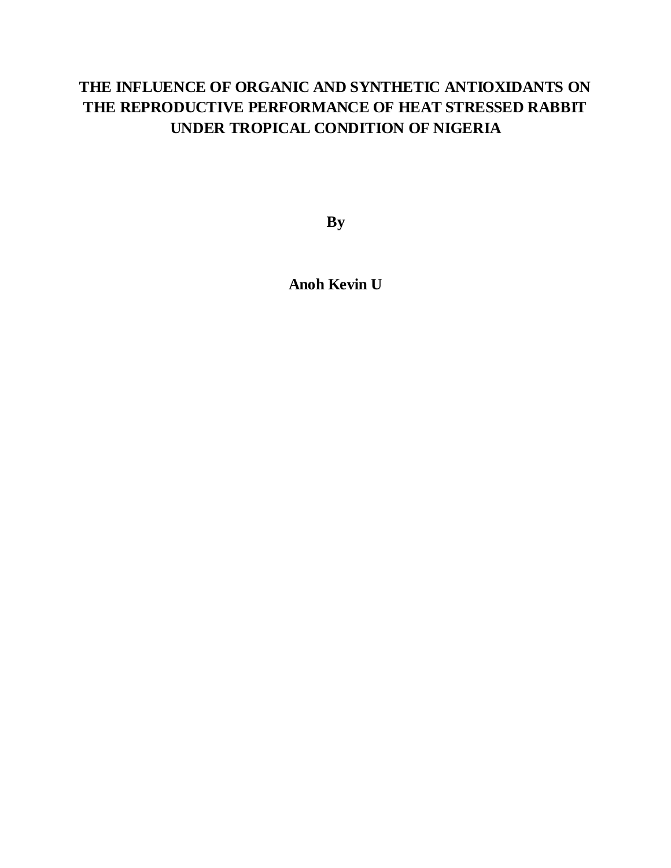## **THE INFLUENCE OF ORGANIC AND SYNTHETIC ANTIOXIDANTS ON THE REPRODUCTIVE PERFORMANCE OF HEAT STRESSED RABBIT UNDER TROPICAL CONDITION OF NIGERIA**

**By**

**Anoh Kevin U**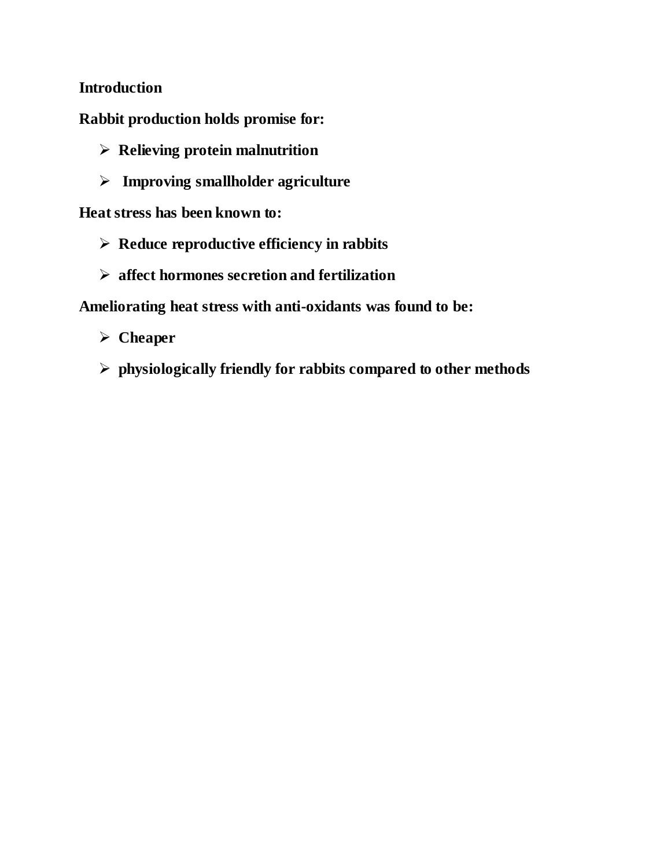### **Introduction**

**Rabbit production holds promise for:**

- **Relieving protein malnutrition**
- **Improving smallholder agriculture**

**Heat stress has been known to:** 

- **Reduce reproductive efficiency in rabbits**
- **affect hormones secretion and fertilization**

**Ameliorating heat stress with anti-oxidants was found to be:** 

- **Cheaper**
- **physiologically friendly for rabbits compared to other methods**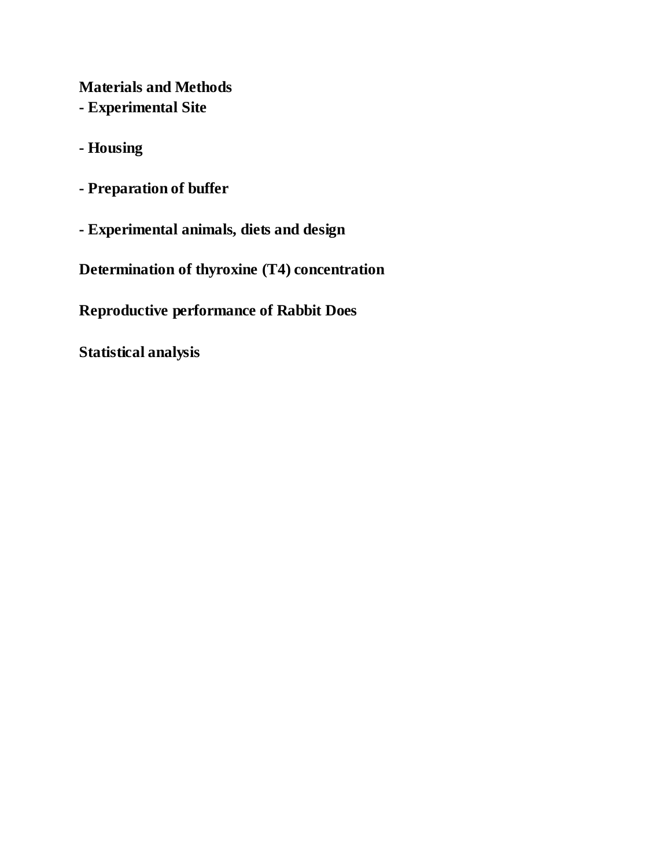**Materials and Methods**

- **- Experimental Site**
- **- Housing**
- **- Preparation of buffer**
- **- Experimental animals, diets and design**

**Determination of thyroxine (T4) concentration**

**Reproductive performance of Rabbit Does**

**Statistical analysis**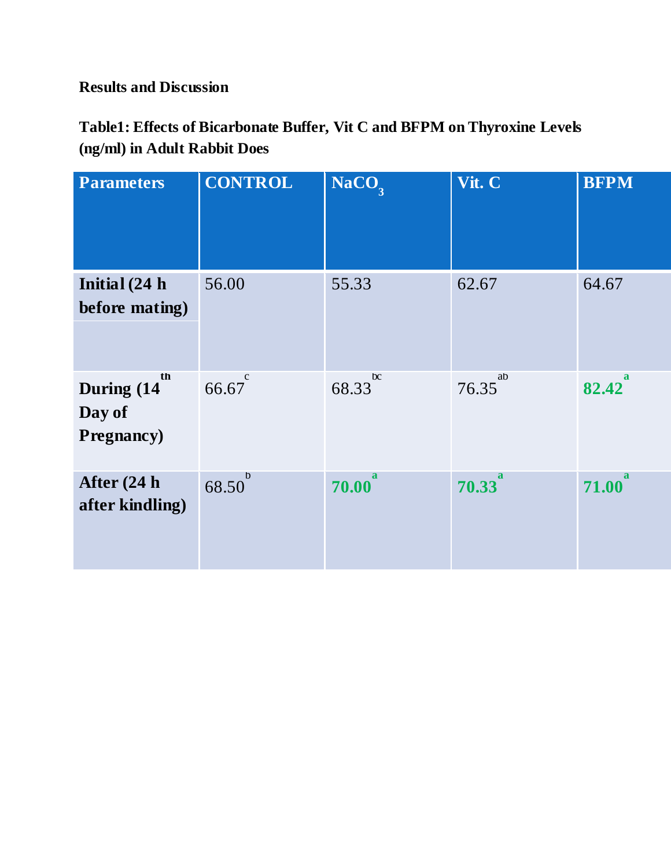## **Results and Discussion**

**Table1: Effects of Bicarbonate Buffer, Vit C and BFPM on Thyroxine Levels (ng/ml) in Adult Rabbit Does**

| <b>Parameters</b>                                 | <b>CONTROL</b>       | NaCO <sub>3</sub>   | Vit. C      | <b>BFPM</b>    |
|---------------------------------------------------|----------------------|---------------------|-------------|----------------|
| Initial (24 h)<br>before mating)                  | 56.00                | 55.33               | 62.67       | 64.67          |
| th<br>During (14)<br>Day of<br><b>Pregnancy</b> ) | $66.67$ <sup>c</sup> | 68.33 <sup>bc</sup> | ab<br>76.35 | $82.42^{^{a}}$ |
| After (24 h<br>after kindling)                    | 68.50 <sup>b</sup>   | a<br>70.00          | a<br>70.33  | a<br>71.00     |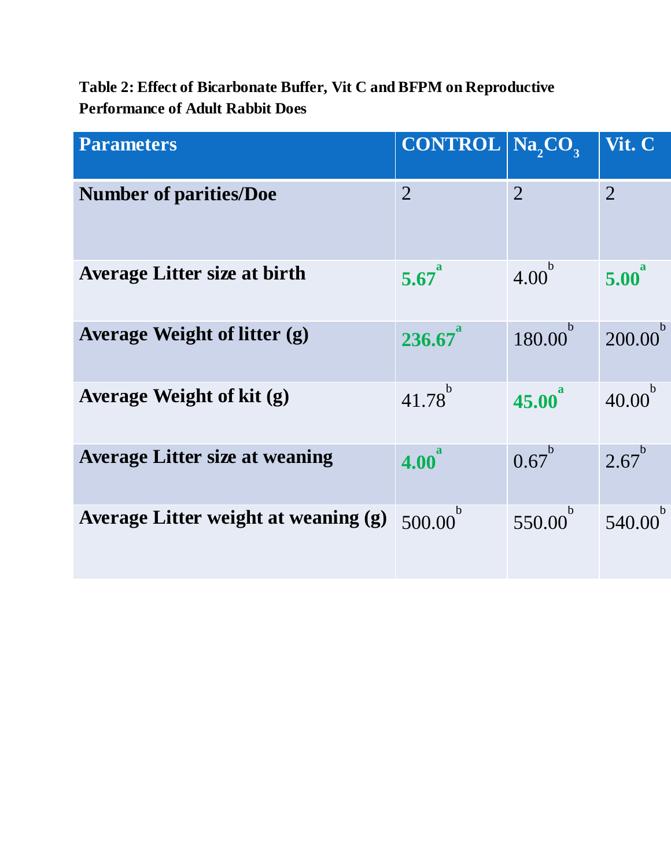# **Table 2: Effect of Bicarbonate Buffer, Vit C and BFPM on Reproductive Performance of Adult Rabbit Does**

| <b>Parameters</b>                     | CONTROL Na <sub>2</sub> CO <sub>2</sub> |                   | Vit. C            |
|---------------------------------------|-----------------------------------------|-------------------|-------------------|
| <b>Number of parities/Doe</b>         | $\overline{2}$                          | $\overline{2}$    | $\overline{2}$    |
| <b>Average Litter size at birth</b>   | $5.67^{a}$                              | 4.00 <sup>b</sup> | 5.00 <sup>a</sup> |
| Average Weight of litter (g)          | $236.67^{a}$                            | $180.00^{b}$      | $200.00^{b}$      |
| Average Weight of kit (g)             | $41.78^{b}$                             | $45.00^{a}$       | $40.00^{b}$       |
| <b>Average Litter size at weaning</b> | 4.00 <sup>a</sup>                       | $0.67^{b}$        | $2.67^{b}$        |
| Average Litter weight at weaning (g)  | $500.00^{b}$                            | $550.00^{b}$      | $540.00^{b}$      |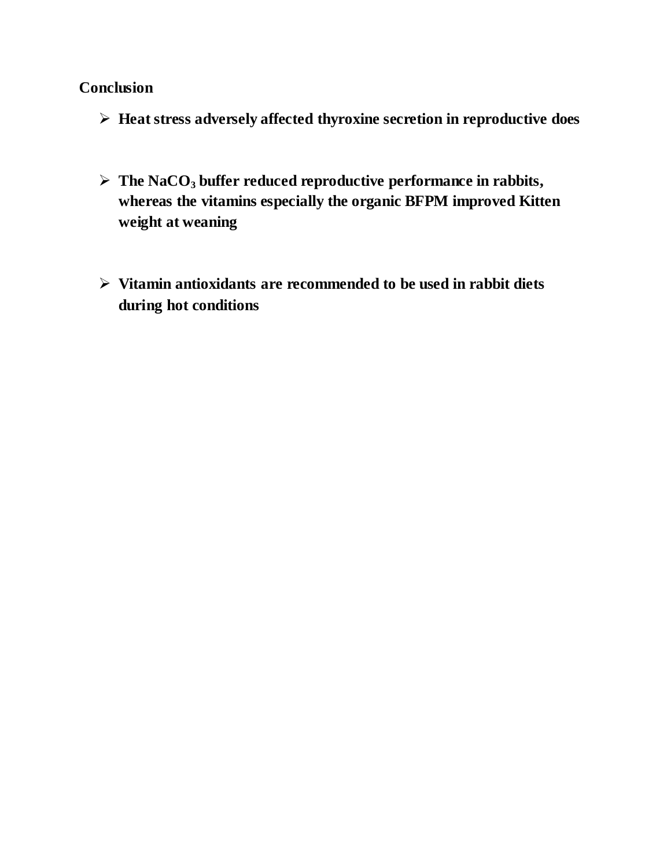### **Conclusion**

- **Heat stress adversely affected thyroxine secretion in reproductive does**
- $\triangleright$  The NaCO<sub>3</sub> buffer reduced reproductive performance in rabbits, **whereas the vitamins especially the organic BFPM improved Kitten weight at weaning**
- **Vitamin antioxidants are recommended to be used in rabbit diets during hot conditions**